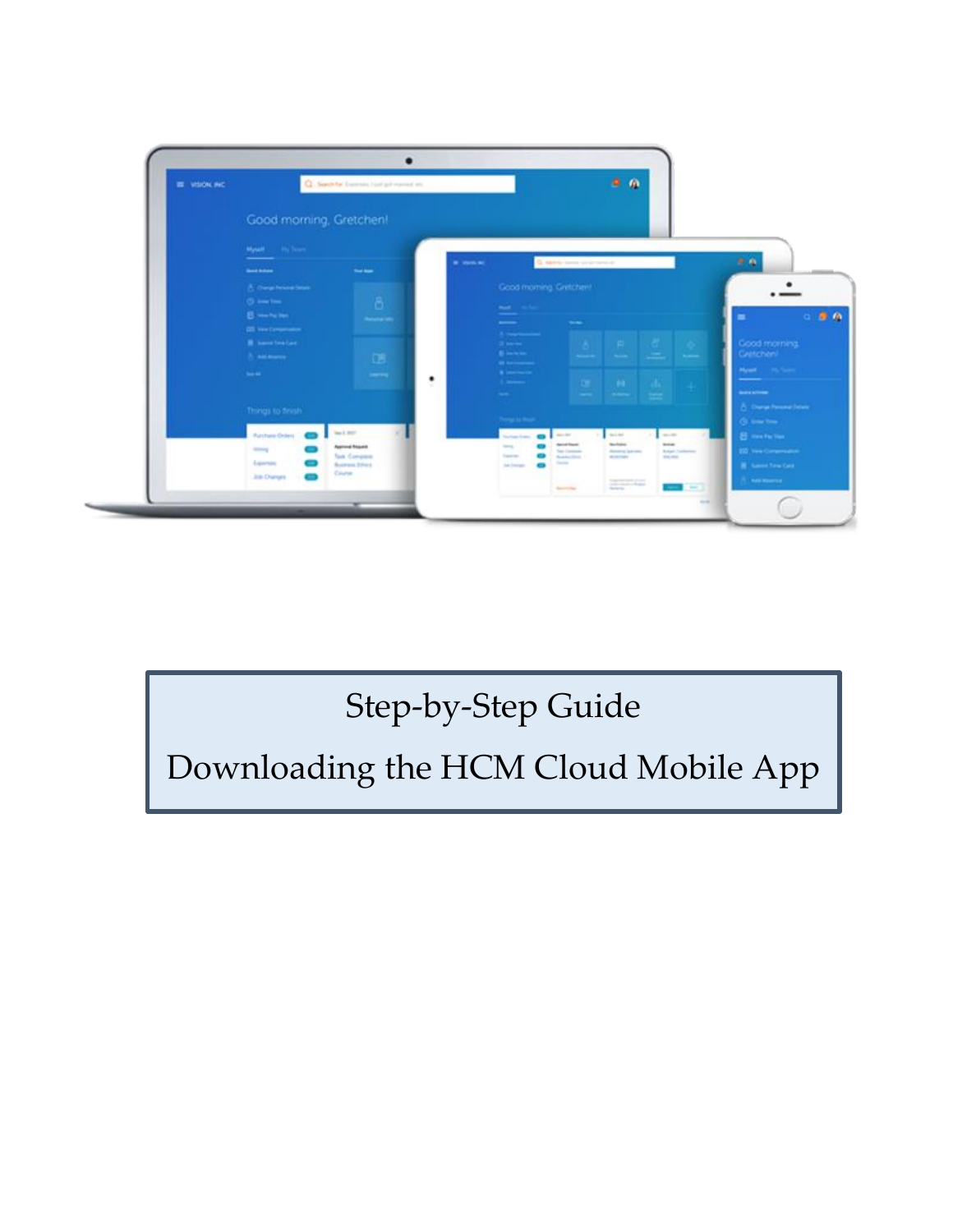

## Step-by-Step Guide

Downloading the HCM Cloud Mobile App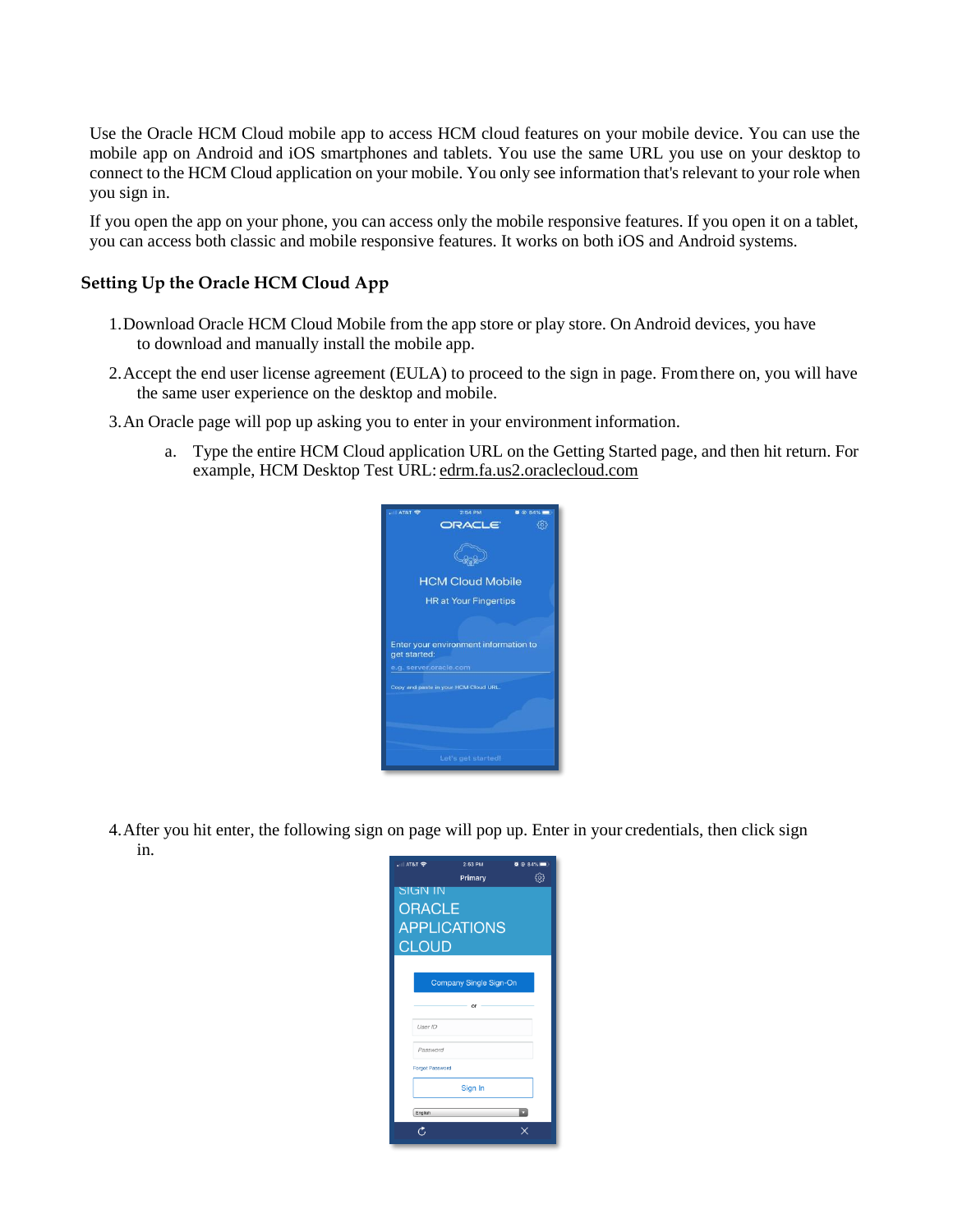Use the Oracle HCM Cloud mobile app to access HCM cloud features on your mobile device. You can use the mobile app on Android and iOS smartphones and tablets. You use the same URL you use on your desktop to connect to the HCM Cloud application on your mobile. You only see information that's relevant to your role when you sign in.

If you open the app on your phone, you can access only the mobile responsive features. If you open it on a tablet, you can access both classic and mobile responsive features. It works on both iOS and Android systems.

## **Setting Up the Oracle HCM Cloud App**

- 1.Download Oracle HCM Cloud Mobile from the app store or play store. On Android devices, you have to download and manually install the mobile app.
- 2.Accept the end user license agreement (EULA) to proceed to the sign in page. Fromthere on, you will have the same user experience on the desktop and mobile.
- 3.An Oracle page will pop up asking you to enter in your environment information.
	- a. Type the entire HCM Cloud application URL on the Getting Started page, and then hit return. For example, HCM Desktop Test URL: [edrm.fa.us2.oraclecloud.com](http://edrm.fa.us2.oraclecloud.com/)



4.After you hit enter, the following sign on page will pop up. Enter in your credentials, then click sign in.

| <sub>•</sub> ⊪ AT&T ক  | 2:53 PM | $\bullet$ $\circ$ 84% |
|------------------------|---------|-----------------------|
|                        | Primary |                       |
| <b>SIGN IN</b>         |         |                       |
| <b>ORACLE</b>          |         |                       |
| <b>APPLICATIONS</b>    |         |                       |
| CLOUD                  |         |                       |
|                        |         |                       |
| Company Single Sign-On |         |                       |
|                        | or      |                       |
| User ID                |         |                       |
| Password               |         |                       |
| <b>Forgot Password</b> |         |                       |
| Sign In                |         |                       |
| English                |         |                       |
|                        |         |                       |